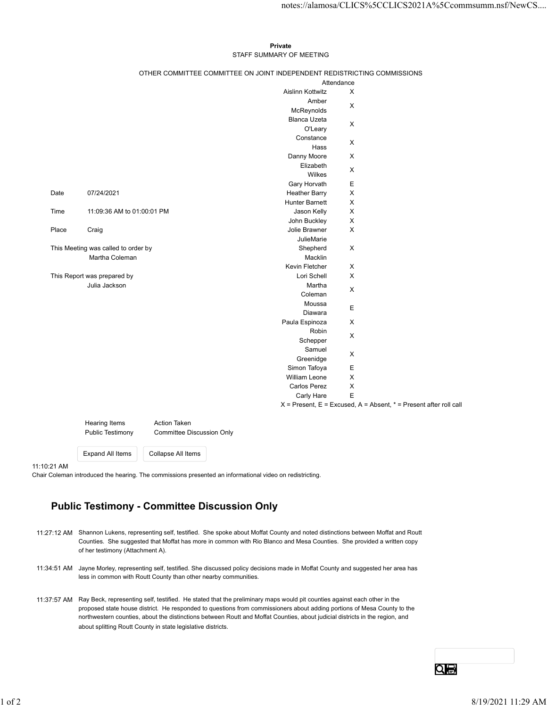## Private **Private** and *Private* and *Private* and *Private* and *Private* and *Private* and *Private* and *Private* and *Private* and *Private* and *Private* and *Private* and *Private* and *Private* and *Private* and *Pri* STAFF SUMMARY OF MEETING

|       |                                     |                                                                          |                                      |                            | notes://alamosa/CLICS%5CCLICS2021A%5Ccommsumm.nsf/NewCS                   |
|-------|-------------------------------------|--------------------------------------------------------------------------|--------------------------------------|----------------------------|---------------------------------------------------------------------------|
|       |                                     |                                                                          |                                      |                            |                                                                           |
|       |                                     |                                                                          |                                      |                            |                                                                           |
|       |                                     |                                                                          | Private                              |                            |                                                                           |
|       |                                     |                                                                          | STAFF SUMMARY OF MEETING             |                            |                                                                           |
|       |                                     | OTHER COMMITTEE COMMITTEE ON JOINT INDEPENDENT REDISTRICTING COMMISSIONS |                                      |                            |                                                                           |
|       |                                     |                                                                          |                                      | Attendance                 |                                                                           |
|       |                                     |                                                                          | Aislinn Kottwitz                     | $\boldsymbol{\mathsf{X}}$  |                                                                           |
|       |                                     |                                                                          | Amber                                | $\boldsymbol{\mathsf{X}}$  |                                                                           |
|       |                                     |                                                                          | McReynolds<br>Blanca Uzeta           |                            |                                                                           |
|       |                                     |                                                                          | O'Leary                              | $\boldsymbol{\mathsf{X}}$  |                                                                           |
|       |                                     |                                                                          | Constance                            | $\mathsf X$                |                                                                           |
|       |                                     |                                                                          | Hass                                 |                            |                                                                           |
|       |                                     |                                                                          | Danny Moore<br>Elizabeth             | $\boldsymbol{\mathsf{X}}$  |                                                                           |
|       |                                     |                                                                          | Wilkes                               | X                          |                                                                           |
|       |                                     |                                                                          | Gary Horvath                         | Е                          |                                                                           |
| Date  | 07/24/2021                          |                                                                          | <b>Heather Barry</b>                 | $\mathsf X$                |                                                                           |
| Time  | 11:09:36 AM to 01:00:01 PM          |                                                                          | Hunter Barnett<br>Jason Kelly        | $\mathsf{X}$<br>X          |                                                                           |
|       |                                     |                                                                          | John Buckley                         | $\mathsf X$                |                                                                           |
| Place | Craig                               |                                                                          | Jolie Brawner                        | $\boldsymbol{\mathsf{X}}$  |                                                                           |
|       | This Meeting was called to order by |                                                                          | JulieMarie                           |                            |                                                                           |
|       | Martha Coleman                      |                                                                          | Shepherd<br>Macklin                  | $\mathsf X$                |                                                                           |
|       |                                     |                                                                          | Kevin Fletcher                       | $\mathsf X$                |                                                                           |
|       | This Report was prepared by         |                                                                          | Lori Schell                          | $\mathsf X$                |                                                                           |
|       | Julia Jackson                       |                                                                          | Martha<br>Coleman                    | $\mathsf X$                |                                                                           |
|       |                                     |                                                                          | Moussa                               |                            |                                                                           |
|       |                                     |                                                                          | Diawara                              | E                          |                                                                           |
|       |                                     |                                                                          | Paula Espinoza                       | $\mathsf X$                |                                                                           |
|       |                                     |                                                                          | Robin<br>Schepper                    | $\mathsf X$                |                                                                           |
|       |                                     |                                                                          | Samuel                               |                            |                                                                           |
|       |                                     |                                                                          | Greenidge                            | $\mathsf X$                |                                                                           |
|       |                                     |                                                                          | Simon Tafoya                         | Е                          |                                                                           |
|       |                                     |                                                                          | William Leone<br><b>Carlos Perez</b> | $\mathsf X$<br>$\mathsf X$ |                                                                           |
|       |                                     |                                                                          | Carly Hare                           | Е                          |                                                                           |
|       |                                     |                                                                          |                                      |                            | $X =$ Present, $E =$ Excused, $A =$ Absent, $* =$ Present after roll call |
|       |                                     |                                                                          |                                      |                            |                                                                           |
|       | Hearing Items<br>Public Testimony   | <b>Action Taken</b><br><b>Committee Discussion Only</b>                  |                                      |                            |                                                                           |
|       |                                     |                                                                          |                                      |                            |                                                                           |
|       |                                     |                                                                          |                                      |                            |                                                                           |
|       | <b>Expand All Items</b>             | Collapse All Items                                                       |                                      |                            |                                                                           |

11:10:21 AM

Chair Coleman introduced the hearing. The commissions presented an informational video on redistricting.

## Public Testimony - Committee Discussion Only

- 11:27:12 AM Shannon Lukens, representing self, testified. She spoke about Moffat County and noted distinctions between Moffat and Routt Counties. She suggested that Moffat has more in common with Rio Blanco and Mesa Counties. She provided a written copy of her testimony (Attachment A).
- 11:34:51 AM Jayne Morley, representing self, testified. She discussed policy decisions made in Moffat County and suggested her area has less in common with Routt County than other nearby communities.
- 11:37:57 AM Ray Beck, representing self, testified. He stated that the preliminary maps would pit counties against each other in the proposed state house district. He responded to questions from commissioners about adding portions of Mesa County to the northwestern counties, about the distinctions between Routt and Moffat Counties, about judicial districts in the region, and about splitting Routt County in state legislative districts. Chair Coleman introduced the hearing. The commissions presented an informational visite on redstricting.<br>
Public Testimony - Committee Discussion Only<br>
11:27:12 AM Shamon Lukern, representing self. leading - She spoke abou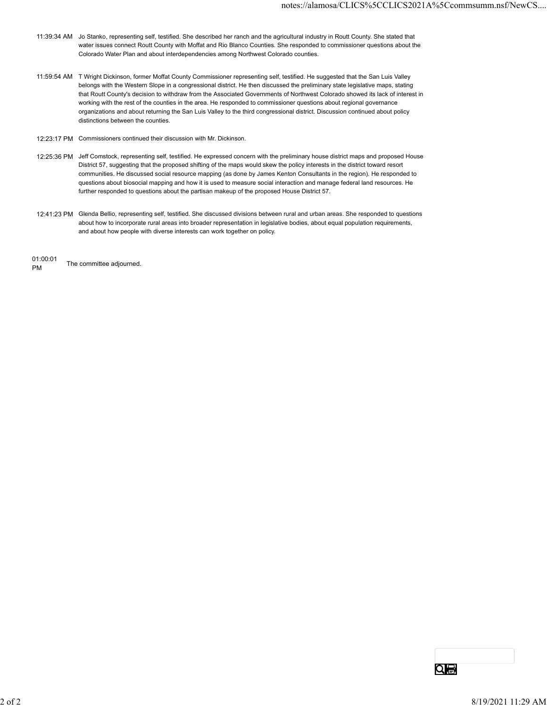- 11:39:34 AM Jo Stanko, representing self, testified. She described her ranch and the agricultural industry in Routt County. She stated that water issues connect Routt County with Moffat and Rio Blanco Counties. She responded to commissioner questions about the Colorado Water Plan and about interdependencies among Northwest Colorado counties.
- 11:59:54 AM T Wright Dickinson, former Moffat County Commissioner representing self, testified. He suggested that the San Luis Valley belongs with the Western Slope in a congressional district. He then discussed the preliminary state legislative maps, stating that Routt County's decision to withdraw from the Associated Governments of Northwest Colorado showed its lack of interest in working with the rest of the counties in the area. He responded to commissioner questions about regional governance organizations and about returning the San Luis Valley to the third congressional district. Discussion continued about policy distinctions between the counties.
- 12:23:17 PM Commissioners continued their discussion with Mr. Dickinson.
- 12:25:36 PM Jeff Comstock, representing self, testified. He expressed concern with the preliminary house district maps and proposed House District 57, suggesting that the proposed shifting of the maps would skew the policy interests in the district toward resort communities. He discussed social resource mapping (as done by James Kenton Consultants in the region). He responded to questions about biosocial mapping and how it is used to measure social interaction and manage federal land resources. He further responded to questions about the partisan makeup of the proposed House District 57.
- 12:41:23 PM Glenda Bellio, representing self, testified. She discussed divisions between rural and urban areas. She responded to questions about how to incorporate rural areas into broader representation in legislative bodies, about equal population requirements, and about how people with diverse interests can work together on policy.

01:00:01 PM The committee adjourned.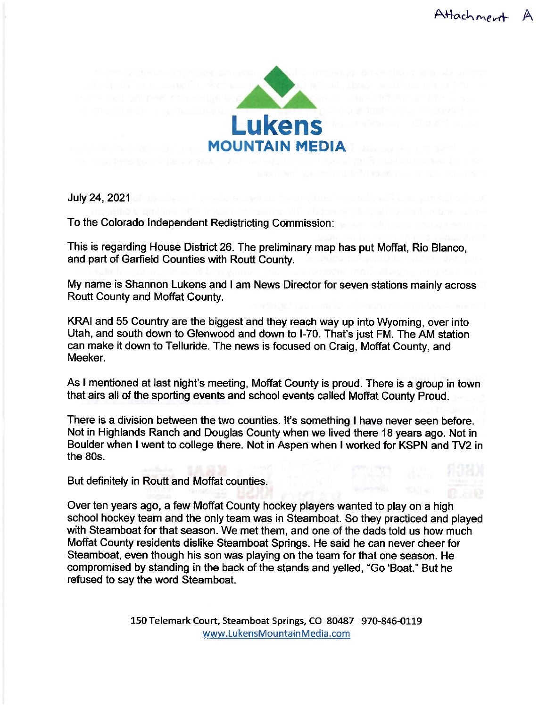

July 24, 2021

To the Colorado Independent Redistricting Commission:

This is regarding House District 26. The preliminary map has put Moffat, Rio Blanco, and part of Garfield Counties with Routt County.

My name is Shannon Lukens and I am News Director for seven stations mainly across Routt County and Moffat County.

KRAI and 55 Country are the biggest and they reach way up into Wyoming, over into Utah, and south down to Glenwood and down to I-70. That's just FM. The AM station can make it down to Telluride. The news is focused on Craig, Moffat County, and Meeker.

As I mentioned at last night's meeting, Moffat County is proud. There is a group in town that airs all of the sporting events and school events called Moffat County Proud.

There is a division between the two counties. It's something I have never seen before. Not in Highlands Ranch and Douglas County when we lived there 18 years ago. Not in Boulder when I went to college there. Not in Aspen when I worked for KSPN and TV2 in the 80s.

But definitely in Routt and Moffat counties.

Over ten years ago, a few Moffat County hockey players wanted to play on a high school hockey team and the only team was in Steamboat. So they practiced and played with Steamboat for that season. We met them, and one of the dads told us how much Moffat County residents dislike Steamboat Springs. He said he can never cheer for Steamboat, even though his son was playing on the team for that one season. He compromised by standing in the back of the stands and yelled, "Go 'Boat." But he refused to say the word Steamboat.

> 150 Telemark Court, Steamboat Springs, CO 80487 970-846-0119 www.LukensMountainMedia.com